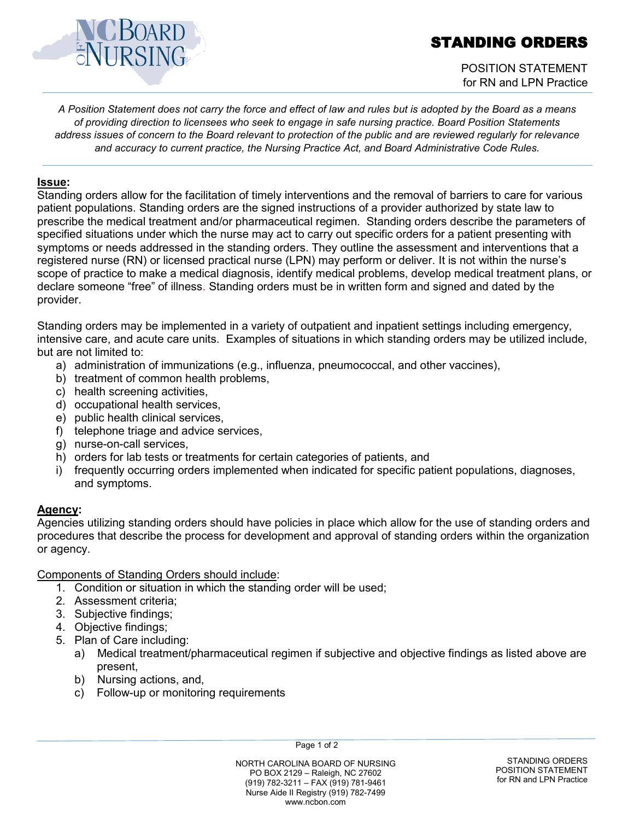# STANDING ORDERS



## POSITION STATEMENT for RN and LPN Practice

*A Position Statement does not carry the force and effect of law and rules but is adopted by the Board as a means of providing direction to licensees who seek to engage in safe nursing practice. Board Position Statements address issues of concern to the Board relevant to protection of the public and are reviewed regularly for relevance and accuracy to current practice, the Nursing Practice Act, and Board Administrative Code Rules.*

#### **Issue:**

Standing orders allow for the facilitation of timely interventions and the removal of barriers to care for various patient populations. Standing orders are the signed instructions of a provider authorized by state law to prescribe the medical treatment and/or pharmaceutical regimen. Standing orders describe the parameters of specified situations under which the nurse may act to carry out specific orders for a patient presenting with symptoms or needs addressed in the standing orders. They outline the assessment and interventions that a registered nurse (RN) or licensed practical nurse (LPN) may perform or deliver. It is not within the nurse's scope of practice to make a medical diagnosis, identify medical problems, develop medical treatment plans, or declare someone "free" of illness. Standing orders must be in written form and signed and dated by the provider.

Standing orders may be implemented in a variety of outpatient and inpatient settings including emergency, intensive care, and acute care units. Examples of situations in which standing orders may be utilized include, but are not limited to:

- a) administration of immunizations (e.g., influenza, pneumococcal, and other vaccines),
- b) treatment of common health problems,
- c) health screening activities,
- d) occupational health services,
- e) public health clinical services,
- f) telephone triage and advice services,
- g) nurse-on-call services,
- h) orders for lab tests or treatments for certain categories of patients, and
- i) frequently occurring orders implemented when indicated for specific patient populations, diagnoses, and symptoms.

## **Agency:**

Agencies utilizing standing orders should have policies in place which allow for the use of standing orders and procedures that describe the process for development and approval of standing orders within the organization or agency.

Components of Standing Orders should include:

- 1. Condition or situation in which the standing order will be used;
- 2. Assessment criteria;
- 3. Subjective findings;
- 4. Objective findings;
- 5. Plan of Care including:
	- a) Medical treatment/pharmaceutical regimen if subjective and objective findings as listed above are present,
	- b) Nursing actions, and,
	- c) Follow-up or monitoring requirements

Page 1 of 2